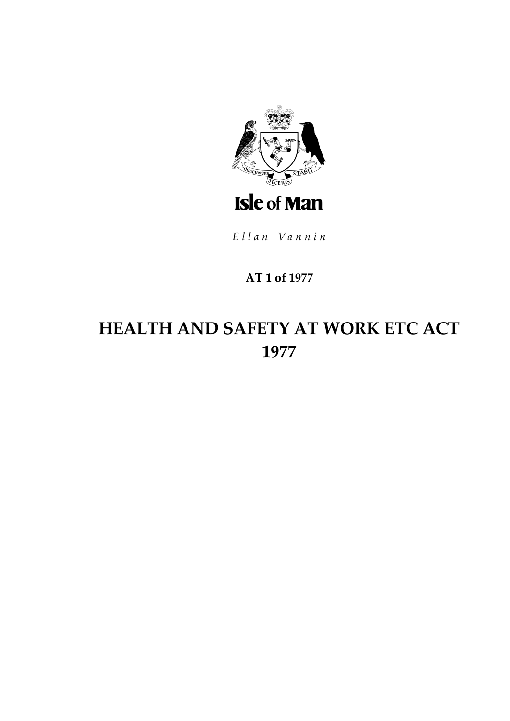

Ellan Vannin

### **AT 1 of 1977**

# **HEALTH AND SAFETY AT WORK ETC ACT 1977**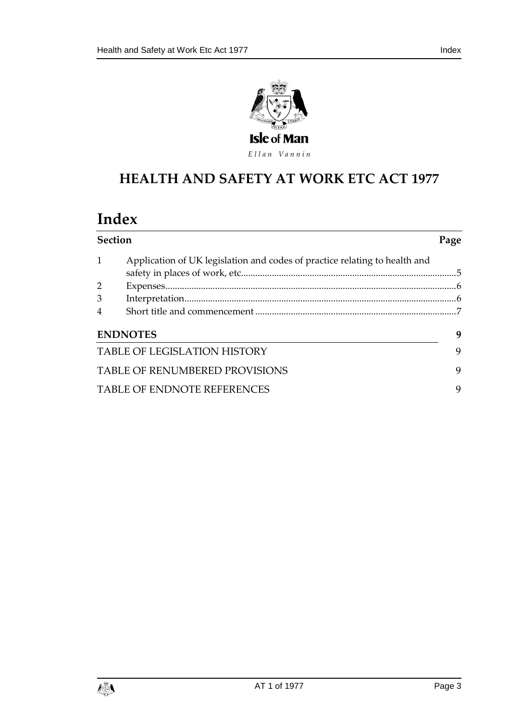



## **HEALTH AND SAFETY AT WORK ETC ACT 1977**

# **Index**

| <b>Section</b> |                                                                            |   |
|----------------|----------------------------------------------------------------------------|---|
|                | Application of UK legislation and codes of practice relating to health and |   |
|                |                                                                            |   |
| 2              |                                                                            |   |
| 3              |                                                                            |   |
| $\overline{4}$ |                                                                            |   |
|                | <b>ENDNOTES</b>                                                            | 9 |
|                | TABLE OF LEGISLATION HISTORY                                               | 9 |
|                | TABLE OF RENUMBERED PROVISIONS                                             | 9 |
|                | <b>TABLE OF ENDNOTE REFERENCES</b>                                         | 9 |

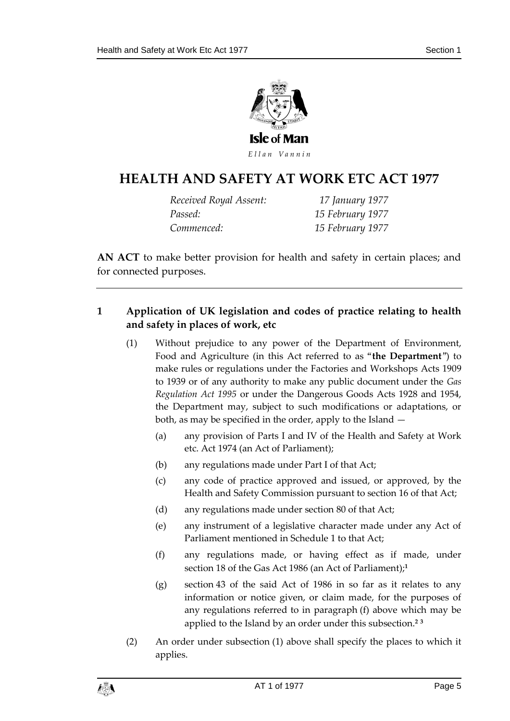

### **HEALTH AND SAFETY AT WORK ETC ACT 1977**

*Received Royal Assent: 17 January 1977 Passed: 15 February 1977 Commenced: 15 February 1977*

**AN ACT** to make better provision for health and safety in certain places; and for connected purposes.

#### <span id="page-4-0"></span>**1 Application of UK legislation and codes of practice relating to health and safety in places of work, etc**

- (1) Without prejudice to any power of the Department of Environment, Food and Agriculture (in this Act referred to as "**the Department**") to make rules or regulations under the Factories and Workshops Acts 1909 to 1939 or of any authority to make any public document under the *Gas Regulation Act 1995* or under the Dangerous Goods Acts 1928 and 1954, the Department may, subject to such modifications or adaptations, or both, as may be specified in the order, apply to the Island —
	- (a) any provision of Parts I and IV of the Health and Safety at Work etc. Act 1974 (an Act of Parliament);
	- (b) any regulations made under Part I of that Act;
	- (c) any code of practice approved and issued, or approved, by the Health and Safety Commission pursuant to section 16 of that Act;
	- (d) any regulations made under section 80 of that Act;
	- (e) any instrument of a legislative character made under any Act of Parliament mentioned in Schedule 1 to that Act;
	- (f) any regulations made, or having effect as if made, under section 18 of the Gas Act 1986 (an Act of Parliament);**<sup>1</sup>**
	- (g) section 43 of the said Act of 1986 in so far as it relates to any information or notice given, or claim made, for the purposes of any regulations referred to in paragraph (f) above which may be applied to the Island by an order under this subsection.**<sup>2</sup> <sup>3</sup>**
- (2) An order under subsection (1) above shall specify the places to which it applies.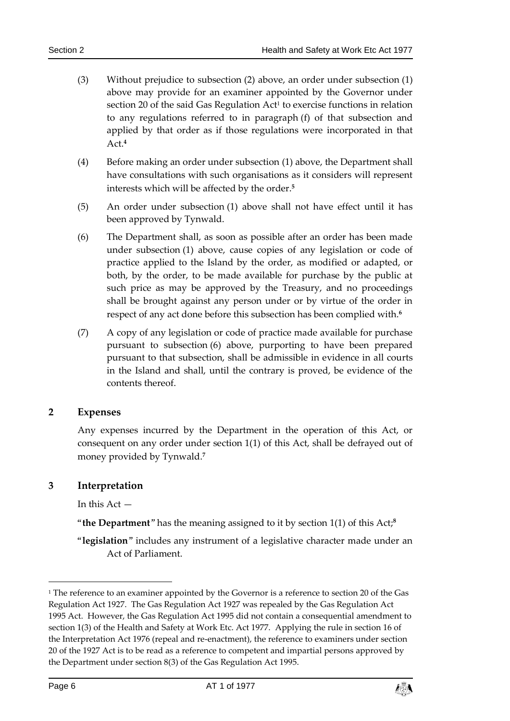- (3) Without prejudice to subsection (2) above, an order under subsection (1) above may provide for an examiner appointed by the Governor under section 20 of the said Gas Regulation Act<sup>1</sup> to exercise functions in relation to any regulations referred to in paragraph (f) of that subsection and applied by that order as if those regulations were incorporated in that Act.**<sup>4</sup>**
- (4) Before making an order under subsection (1) above, the Department shall have consultations with such organisations as it considers will represent interests which will be affected by the order.**<sup>5</sup>**
- (5) An order under subsection (1) above shall not have effect until it has been approved by Tynwald.
- (6) The Department shall, as soon as possible after an order has been made under subsection (1) above, cause copies of any legislation or code of practice applied to the Island by the order, as modified or adapted, or both, by the order, to be made available for purchase by the public at such price as may be approved by the Treasury, and no proceedings shall be brought against any person under or by virtue of the order in respect of any act done before this subsection has been complied with.**<sup>6</sup>**
- (7) A copy of any legislation or code of practice made available for purchase pursuant to subsection (6) above, purporting to have been prepared pursuant to that subsection, shall be admissible in evidence in all courts in the Island and shall, until the contrary is proved, be evidence of the contents thereof.

#### <span id="page-5-0"></span>**2 Expenses**

Any expenses incurred by the Department in the operation of this Act, or consequent on any order under section 1(1) of this Act, shall be defrayed out of money provided by Tynwald.**<sup>7</sup>**

#### <span id="page-5-1"></span>**3 Interpretation**

In this Act —

"**the Department**" has the meaning assigned to it by section 1(1) of this Act;**<sup>8</sup>**

"**legislation**" includes any instrument of a legislative character made under an Act of Parliament.

-



<sup>&</sup>lt;sup>1</sup> The reference to an examiner appointed by the Governor is a reference to section 20 of the Gas Regulation Act 1927. The Gas Regulation Act 1927 was repealed by the Gas Regulation Act 1995 Act. However, the Gas Regulation Act 1995 did not contain a consequential amendment to section 1(3) of the Health and Safety at Work Etc. Act 1977. Applying the rule in section 16 of the Interpretation Act 1976 (repeal and re-enactment), the reference to examiners under section 20 of the 1927 Act is to be read as a reference to competent and impartial persons approved by the Department under section 8(3) of the Gas Regulation Act 1995.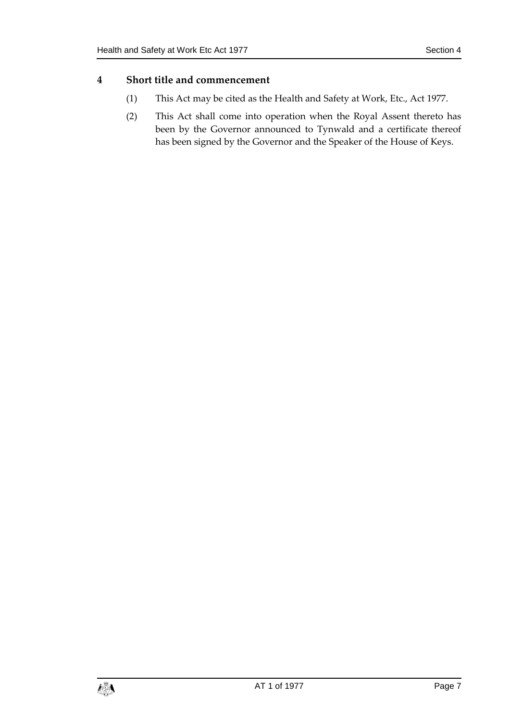#### <span id="page-6-0"></span>**4 Short title and commencement**

- (1) This Act may be cited as the Health and Safety at Work, Etc., Act 1977.
- (2) This Act shall come into operation when the Royal Assent thereto has been by the Governor announced to Tynwald and a certificate thereof has been signed by the Governor and the Speaker of the House of Keys.